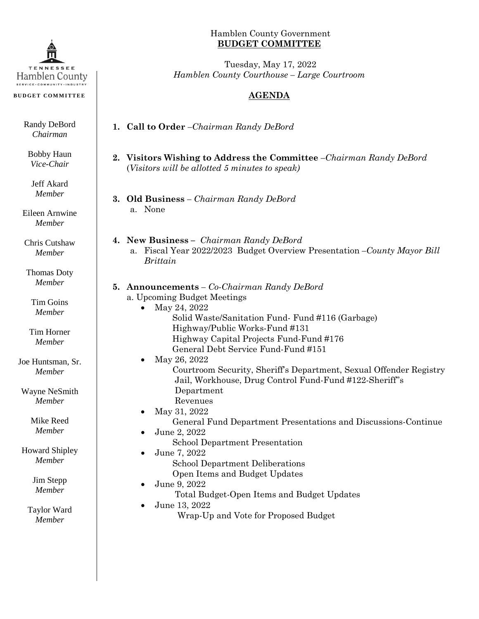

**BUDGET COMMITTEE**

Randy DeBord *Chairman*

Bobby Haun *Vice-Chair*

Jeff Akard *Member*

Eileen Arnwine *Member*

Chris Cutshaw *Member*

Thomas Doty *Member*

> Tim Goins *Member*

Tim Horner *Member*

Joe Huntsman, Sr. *Member*

Wayne NeSmith *Member*

> Mike Reed *Member*

Howard Shipley *Member*

> Jim Stepp *Member*

Taylor Ward *Member*

## Hamblen County Government **BUDGET COMMITTEE**

Tuesday, May 17, 2022 *Hamblen County Courthouse – Large Courtroom*

## **AGENDA**

**1. Call to Order** *–Chairman Randy DeBord*

## **2. Visitors Wishing to Address the Committee** *–Chairman Randy DeBord* (*Visitors will be allotted 5 minutes to speak)*

- **3. Old Business** *– Chairman Randy DeBord* a. None
- **4. New Business –** *Chairman Randy DeBord* a. Fiscal Year 2022/2023 Budget Overview Presentation *–County Mayor Bill Brittain*

## **5. Announcements** *– Co-Chairman Randy DeBord*

- a. Upcoming Budget Meetings
	- May 24, 2022
		- Solid Waste/Sanitation Fund- Fund #116 (Garbage) Highway/Public Works-Fund #131
		- Highway Capital Projects Fund-Fund #176
		- General Debt Service Fund-Fund #151
		- May 26, 2022
			- Courtroom Security, Sheriff's Department, Sexual Offender Registry Jail, Workhouse, Drug Control Fund-Fund #122-Sheriff''s Department
			- Revenues
		- May 31, 2022 General Fund Department Presentations and Discussions-Continue
		- June 2, 2022
			- School Department Presentation
			- June 7, 2022 School Department Deliberations Open Items and Budget Updates
				-
			- June 9, 2022
				- Total Budget-Open Items and Budget Updates
			- June 13, 2022 Wrap-Up and Vote for Proposed Budget